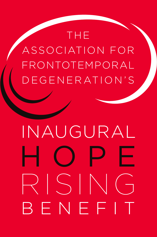## THE ASSOCIATION FOR FRONTOTEMPORAL DEGENERATION'S

# HOPE RISING INAUGURAL BENEFIT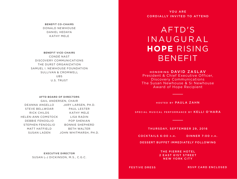BENEFIT CO-CHAIRS DONALD NEWHOUSE DANIEL HEDAYA KATHY MELE

BENEFIT VICE-CHAIRS CONDÉ NAST DISCOVERY COMMUNICATIONS THE DURST ORGANIZATION SAMUEL I. NEWHOUSE FOUNDATION SULLIVAN & CROMWELL UBS U.S. TRUST

#### AFTD BOARD OF DIRECTORS

DEANNA ANGELLO STEVE BELLWOAR RICK CHILDS HELEN-ANN COMSTOCK DEBBIE FENOGLIO STEPHEN FENOGLIO MATT HATFIELD SUSAN LADEN JARY LARSEN, PH.D. GAIL ANDERSEN, CHAIR

PAUL LESTER KATHY MELE LISA RADIN POP SHENIAN BONNIE SHEPHERD BETH WALTER JOHN WHITMARSH, PH.D.

EXECUTIVE DIRECTOR SUSAN L-J DICKINSON, M.S., C.G.C.

YOU ARE CORDIALLY INVITED TO ATTEND

AFTD'S INAUGURAL **HOPE** RISING BENEFIT

HONORING DAVID ZASLAV President & Chief Executive Officer, Discovery Communications The Susan Newhouse & Si Newhouse Award of Hope Recipient

HOSTED BY PAULA ZAHN

SPECIAL MUSICAL PERFORMANCE BY KELLI O'HARA

THURSDAY, SEPTEMBER 29, 2016

 $COCKTAILS 6:OO P.M.$  DINNER 7:00  $P.M.$ 

DESSERT BUFFET IMMEDIATELY FOLLOWING

THE PIERRE HOTEL 2 EAST 61ST STREET NEW YORK CITY

#### FESTIVE DRESS

RSVP CARD ENCLOSED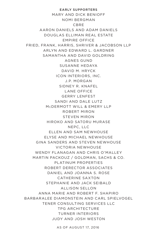EARLY SUPPORTERS MARY AND DICK BENIOFF NOMI BERGMAN CBRE AARON DANIELS AND ADAM DANIELS DOUGLAS ELLIMAN REAL ESTATE EMPIRE OFFICE FRIED, FRANK, HARRIS, SHRIVER & JACOBSON LLP ARLYN AND EDWARD L. GARDNER SAMANTHA AND DAVID GOLDRING AGNES GUND SUSANNE HEDAYA DAVID M. HRYCK ICON INTERIORS, INC. J.P. MORGAN SIDNEY R. KNAFEL LANE OFFICE GERRY LENFEST SANDI AND DALE LUTZ McDERMOTT WILL & EMERY LLP ROBERT MIRON STEVEN MIRON HIROKO AND SATORU MURASE NEPC, LLC ELLEN AND SAM NEWHOUSE ELYSE AND MICHAEL NEWHOUSE GINA SANDERS AND STEVEN NEWHOUSE VICTORIA NEWHOUSE WENDY FLANAGAN AND CHRIS O'MALLEY MARTIN PACKOUZ / GOLDMAN, SACHS & CO. PLATINUM PROPERTIES ROBERT DERECTOR ASSOCIATES DANIEL AND JOANNA S. ROSE CATHERINE SAXTON STEPHANIE AND JACK SEIBALD ALLISON SELLON ANNA MARIE AND ROBERT F. SHAPIRO BARBARALEE DIAMONSTEIN AND CARL SPIELVOGEL TENER CONSULTING SERVICES LLC TPG ARCHITECTURE TURNER INTERIORS JUDY AND JOSH WESTON

AS OF AUGUST 17, 2016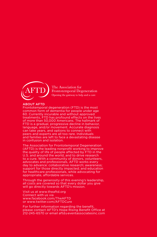

The Association for Frontotemporal Degeneration Opening the gateway to help and a cure

#### ABOUT AFTD

Frontotemporal degeneration (FTD) is the most common form of dementia for people under age 60. Currently incurable and without approved treatments, FTD has profound effects on the lives of more than 50,000 Americans. The hallmark of FTD is a gradual, progressive decline in behavior, language, and/or movement. Accurate diagnosis can take years, and options to connect with peers and experts are all too rare. Individuals and families are left to face a devastating disease in confusion and isolation.

The Association for Frontotemporal Degeneration (AFTD) is the leading nonprofit working to improve the quality of life of people affected by FTD in the U.S. and around the world, and to drive research to a cure. With a community of donors, volunteers, advocates and professionals, AFTD works every day to advance: collaborative research; awareness; support for those directly impacted; and education for healthcare professionals, while advocating for appropriate, affordable services.

Through the generosity of this evening's leadership, all costs are covered so that every dollar you give will go directly towards AFTD's mission.

Visit us at www.theaftd.org Connect with us via www.facebook.com/TheAFTD or www.twitter.com/AFTDCure

For further information regarding the benefit, please contact AFTD's Hope Rising Benefit Office at 212-245-6570 or email aftd@eventassociatesinc.com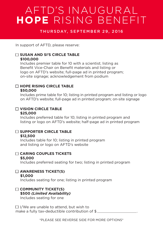### AFTD'S INAUGURAL **HOPE** RISING BENEFIT

#### THURSDAY, SEPTEMBER 29, 2016

In support of AFTD, please reserve:

#### **SUSAN AND SI'S CIRCLE TABLE**

#### **\$100,000**

Includes premier table for 10 with a scientist; listing as Benefit Vice-Chair on Benefit materials and listing or logo on AFTD's website; full-page ad in printed program; on-site signage; acknowledgement from podium

#### **HOPE RISING CIRCLE TABLE \$50,000**

Includes prime table for 10; listing in printed program and listing or logo on AFTD's website; full-page ad in printed program; on-site signage

#### **VISION CIRCLE TABLE**

#### **\$25,000**

Includes preferred table for 10; listing in printed program and listing or logo on AFTD's website; half-page ad in printed program

#### **SUPPORTER CIRCLE TABLE**

#### **\$12,500**

Includes table for 10; listing in printed program and listing or logo on AFTD's website

#### **CARING COUPLES TICKETS**

#### **\$5,000**

Includes preferred seating for two; listing in printed program

#### **AWARENESS TICKET(S)**

#### **\$1,000**

Includes seating for one; listing in printed program

#### **COMMUNITY TICKET(S)**

#### **\$500** *(Limited Availability)* Includes seating for one

 $\Box$  I/We are unable to attend, but wish to make a fully tax-deductible contribution of  $\frac{1}{2}$ 

\*PLEASE SEE REVERSE SIDE FOR MORE OPTIONS\*